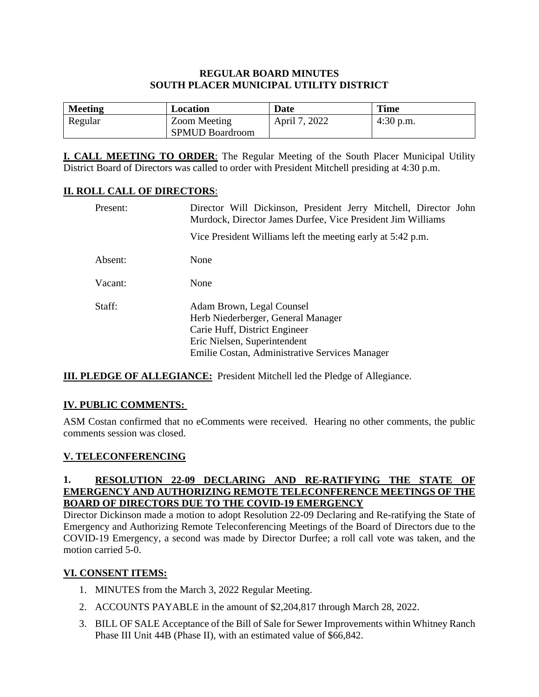### **REGULAR BOARD MINUTES SOUTH PLACER MUNICIPAL UTILITY DISTRICT**

| <b>Meeting</b> | Location               | Date          | <b>Time</b> |
|----------------|------------------------|---------------|-------------|
| Regular        | Zoom Meeting           | April 7, 2022 | 4:30 p.m.   |
|                | <b>SPMUD Boardroom</b> |               |             |

**I. CALL MEETING TO ORDER**: The Regular Meeting of the South Placer Municipal Utility District Board of Directors was called to order with President Mitchell presiding at 4:30 p.m.

### **II. ROLL CALL OF DIRECTORS**:

| Present: | Director Will Dickinson, President Jerry Mitchell, Director John<br>Murdock, Director James Durfee, Vice President Jim Williams                                                    |  |  |
|----------|------------------------------------------------------------------------------------------------------------------------------------------------------------------------------------|--|--|
|          | Vice President Williams left the meeting early at 5:42 p.m.                                                                                                                        |  |  |
| Absent:  | None                                                                                                                                                                               |  |  |
| Vacant:  | None                                                                                                                                                                               |  |  |
| Staff:   | Adam Brown, Legal Counsel<br>Herb Niederberger, General Manager<br>Carie Huff, District Engineer<br>Eric Nielsen, Superintendent<br>Emilie Costan, Administrative Services Manager |  |  |

**III. PLEDGE OF ALLEGIANCE:** President Mitchell led the Pledge of Allegiance.

# **IV. PUBLIC COMMENTS:**

ASM Costan confirmed that no eComments were received. Hearing no other comments, the public comments session was closed.

# **V. TELECONFERENCING**

### **1. RESOLUTION 22-09 DECLARING AND RE-RATIFYING THE STATE OF EMERGENCY AND AUTHORIZING REMOTE TELECONFERENCE MEETINGS OF THE BOARD OF DIRECTORS DUE TO THE COVID-19 EMERGENCY**

Director Dickinson made a motion to adopt Resolution 22-09 Declaring and Re-ratifying the State of Emergency and Authorizing Remote Teleconferencing Meetings of the Board of Directors due to the COVID-19 Emergency, a second was made by Director Durfee; a roll call vote was taken, and the motion carried 5-0.

# **VI. CONSENT ITEMS:**

- 1. MINUTES from the March 3, 2022 Regular Meeting.
- 2. ACCOUNTS PAYABLE in the amount of \$2,204,817 through March 28, 2022.
- 3. BILL OF SALE Acceptance of the Bill of Sale for Sewer Improvements within Whitney Ranch Phase III Unit 44B (Phase II), with an estimated value of \$66,842.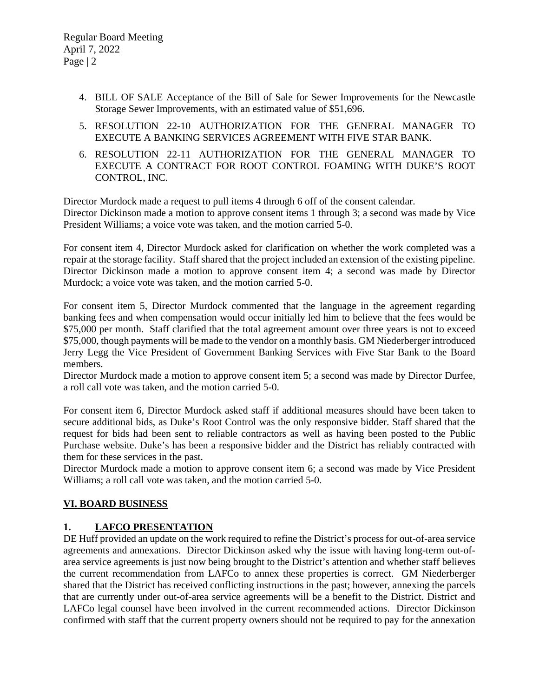- 4. BILL OF SALE Acceptance of the Bill of Sale for Sewer Improvements for the Newcastle Storage Sewer Improvements, with an estimated value of \$51,696.
- 5. RESOLUTION 22-10 AUTHORIZATION FOR THE GENERAL MANAGER TO EXECUTE A BANKING SERVICES AGREEMENT WITH FIVE STAR BANK.
- 6. RESOLUTION 22-11 AUTHORIZATION FOR THE GENERAL MANAGER TO EXECUTE A CONTRACT FOR ROOT CONTROL FOAMING WITH DUKE'S ROOT CONTROL, INC.

Director Murdock made a request to pull items 4 through 6 off of the consent calendar. Director Dickinson made a motion to approve consent items 1 through 3; a second was made by Vice President Williams; a voice vote was taken, and the motion carried 5-0.

For consent item 4, Director Murdock asked for clarification on whether the work completed was a repair at the storage facility. Staff shared that the project included an extension of the existing pipeline. Director Dickinson made a motion to approve consent item 4; a second was made by Director Murdock; a voice vote was taken, and the motion carried 5-0.

For consent item 5, Director Murdock commented that the language in the agreement regarding banking fees and when compensation would occur initially led him to believe that the fees would be \$75,000 per month. Staff clarified that the total agreement amount over three years is not to exceed \$75,000, though payments will be made to the vendor on a monthly basis. GM Niederberger introduced Jerry Legg the Vice President of Government Banking Services with Five Star Bank to the Board members.

Director Murdock made a motion to approve consent item 5; a second was made by Director Durfee, a roll call vote was taken, and the motion carried 5-0.

For consent item 6, Director Murdock asked staff if additional measures should have been taken to secure additional bids, as Duke's Root Control was the only responsive bidder. Staff shared that the request for bids had been sent to reliable contractors as well as having been posted to the Public Purchase website. Duke's has been a responsive bidder and the District has reliably contracted with them for these services in the past.

Director Murdock made a motion to approve consent item 6; a second was made by Vice President Williams; a roll call vote was taken, and the motion carried 5-0.

# **VI. BOARD BUSINESS**

# **1. LAFCO PRESENTATION**

DE Huff provided an update on the work required to refine the District's process for out-of-area service agreements and annexations. Director Dickinson asked why the issue with having long-term out-ofarea service agreements is just now being brought to the District's attention and whether staff believes the current recommendation from LAFCo to annex these properties is correct. GM Niederberger shared that the District has received conflicting instructions in the past; however, annexing the parcels that are currently under out-of-area service agreements will be a benefit to the District. District and LAFCo legal counsel have been involved in the current recommended actions. Director Dickinson confirmed with staff that the current property owners should not be required to pay for the annexation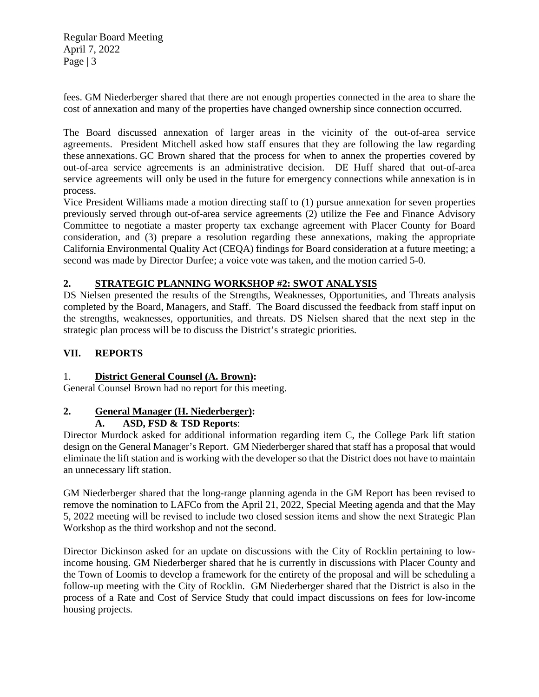Regular Board Meeting April 7, 2022 Page | 3

fees. GM Niederberger shared that there are not enough properties connected in the area to share the cost of annexation and many of the properties have changed ownership since connection occurred.

The Board discussed annexation of larger areas in the vicinity of the out-of-area service agreements. President Mitchell asked how staff ensures that they are following the law regarding these annexations. GC Brown shared that the process for when to annex the properties covered by out-of-area service agreements is an administrative decision. DE Huff shared that out-of-area service agreements will only be used in the future for emergency connections while annexation is in process.

Vice President Williams made a motion directing staff to (1) pursue annexation for seven properties previously served through out-of-area service agreements (2) utilize the Fee and Finance Advisory Committee to negotiate a master property tax exchange agreement with Placer County for Board consideration, and (3) prepare a resolution regarding these annexations, making the appropriate California Environmental Quality Act (CEQA) findings for Board consideration at a future meeting; a second was made by Director Durfee; a voice vote was taken, and the motion carried 5-0.

### **2. STRATEGIC PLANNING WORKSHOP #2: SWOT ANALYSIS**

DS Nielsen presented the results of the Strengths, Weaknesses, Opportunities, and Threats analysis completed by the Board, Managers, and Staff. The Board discussed the feedback from staff input on the strengths, weaknesses, opportunities, and threats. DS Nielsen shared that the next step in the strategic plan process will be to discuss the District's strategic priorities.

### **VII. REPORTS**

### 1. **District General Counsel (A. Brown):**

General Counsel Brown had no report for this meeting.

# **2. General Manager (H. Niederberger):**

### **A. ASD, FSD & TSD Reports**:

Director Murdock asked for additional information regarding item C, the College Park lift station design on the General Manager's Report. GM Niederberger shared that staff has a proposal that would eliminate the lift station and is working with the developer so that the District does not have to maintain an unnecessary lift station.

GM Niederberger shared that the long-range planning agenda in the GM Report has been revised to remove the nomination to LAFCo from the April 21, 2022, Special Meeting agenda and that the May 5, 2022 meeting will be revised to include two closed session items and show the next Strategic Plan Workshop as the third workshop and not the second.

Director Dickinson asked for an update on discussions with the City of Rocklin pertaining to lowincome housing. GM Niederberger shared that he is currently in discussions with Placer County and the Town of Loomis to develop a framework for the entirety of the proposal and will be scheduling a follow-up meeting with the City of Rocklin. GM Niederberger shared that the District is also in the process of a Rate and Cost of Service Study that could impact discussions on fees for low-income housing projects.